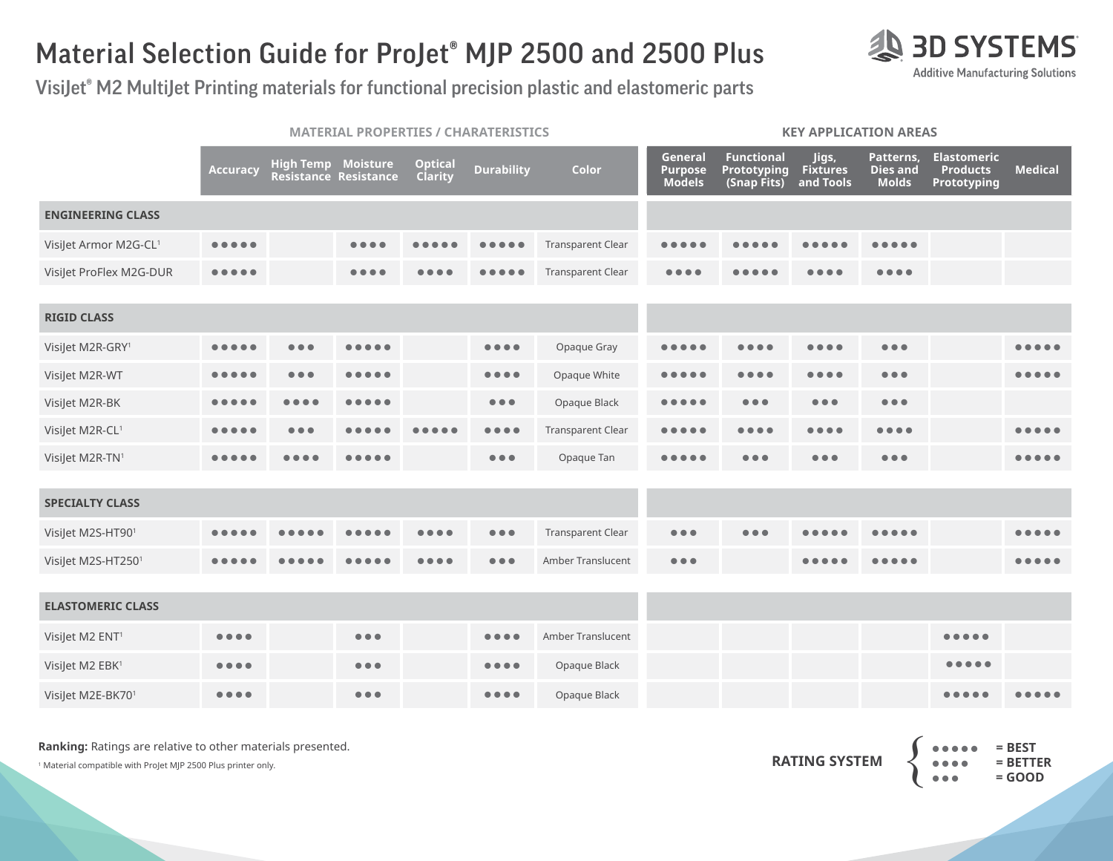## Material Selection Guide for ProJet® MJP 2500 and 2500 Plus

VisiJet® M2 MultiJet Printing materials for functional precision plastic and elastomeric parts

|                             |                                       |                               | <b>MATERIAL PROPERTIES / CHARATERISTICS</b> |                           |                                                                                                          |                          | <b>KEY APPLICATION AREAS</b>        |                                                        |                                       |                                              |                                                      |                |  |  |
|-----------------------------|---------------------------------------|-------------------------------|---------------------------------------------|---------------------------|----------------------------------------------------------------------------------------------------------|--------------------------|-------------------------------------|--------------------------------------------------------|---------------------------------------|----------------------------------------------|------------------------------------------------------|----------------|--|--|
|                             | Accuracy                              | <b>High Temp Moisture</b>     | Resistance Resistance                       | <b>Optical</b><br>Clarity | <b>Durability</b>                                                                                        | Color                    | General<br>Purpose<br><b>Models</b> | <b>Functional</b><br><b>Prototyping</b><br>(Snap Fits) | Jigs,<br><b>Fixtures</b><br>and Tools | Patterns,<br><b>Dies and</b><br><b>Molds</b> | <b>Elastomeric</b><br><b>Products</b><br>Prototyping | <b>Medical</b> |  |  |
| <b>ENGINEERING CLASS</b>    |                                       |                               |                                             |                           |                                                                                                          |                          |                                     |                                                        |                                       |                                              |                                                      |                |  |  |
| VisiJet Armor M2G-CL1       |                                       |                               | $\bullet\bullet\bullet\bullet$              |                           | <br>$\bullet$ $\bullet$                                                                                  | <b>Transparent Clear</b> | $\bullet$                           |                                                        |                                       |                                              |                                                      |                |  |  |
| VisiJet ProFlex M2G-DUR     | $\bullet\bullet\bullet\bullet\bullet$ |                               | $\bullet\bullet\bullet\bullet$              |                           |                                                                                                          | <b>Transparent Clear</b> |                                     |                                                        |                                       | $\bullet\bullet\bullet\bullet$               |                                                      |                |  |  |
| <b>RIGID CLASS</b>          |                                       |                               |                                             |                           |                                                                                                          |                          |                                     |                                                        |                                       |                                              |                                                      |                |  |  |
| VisiJet M2R-GRY1            |                                       | $\bullet\bullet\bullet$       | .                                           |                           | $\bullet\bullet\bullet\bullet$                                                                           | Opaque Gray              |                                     |                                                        |                                       | $\bullet\bullet\bullet$                      |                                                      | .              |  |  |
| VisiJet M2R-WT              |                                       | .                             |                                             |                           | $\bullet\bullet\bullet\bullet$                                                                           | Opaque White             | $\bullet$ $\bullet$                 | .                                                      | $\bullet\bullet\bullet\bullet$        | $\bullet\bullet\bullet$                      |                                                      |                |  |  |
| VisiJet M2R-BK              | $\bullet$ $\bullet$                   | $\bullet$                     |                                             |                           | $\bullet\bullet\bullet$                                                                                  | Opaque Black             | $\bullet$                           | $\bullet\bullet\bullet$                                | $\bullet\bullet\bullet$               | $\bullet\bullet\bullet$                      |                                                      |                |  |  |
| VisiJet M2R-CL1             | $\bullet\bullet\bullet$<br>$\bullet$  | $\bullet$ $\bullet$ $\bullet$ |                                             |                           | $\bullet\bullet\bullet\bullet$                                                                           | <b>Transparent Clear</b> | $\bullet$                           | $\bullet\bullet\bullet\bullet$                         | $\bullet\bullet\bullet\bullet$        | $\bullet\bullet\bullet\bullet$               |                                                      |                |  |  |
| VisiJet M2R-TN1             |                                       |                               |                                             |                           | $\bullet\bullet\bullet$                                                                                  | Opaque Tan               |                                     | $\bullet\bullet\bullet$                                | $\bullet\bullet\bullet$               | $\bullet\bullet\bullet$                      |                                                      | .              |  |  |
|                             |                                       |                               |                                             |                           |                                                                                                          |                          |                                     |                                                        |                                       |                                              |                                                      |                |  |  |
| <b>SPECIALTY CLASS</b>      |                                       |                               |                                             |                           |                                                                                                          |                          |                                     |                                                        |                                       |                                              |                                                      |                |  |  |
| VisiJet M2S-HT901           |                                       |                               |                                             |                           | $\bullet\bullet\bullet$                                                                                  | <b>Transparent Clear</b> | $\bullet\bullet\bullet$             | $\bullet$ $\bullet$ $\bullet$                          |                                       |                                              |                                                      |                |  |  |
| VisiJet M2S-HT2501          |                                       |                               |                                             |                           | $\bullet\bullet\bullet$                                                                                  | Amber Translucent        | $\bullet\bullet\bullet$             |                                                        |                                       |                                              |                                                      |                |  |  |
|                             |                                       |                               |                                             |                           |                                                                                                          |                          |                                     |                                                        |                                       |                                              |                                                      |                |  |  |
| <b>ELASTOMERIC CLASS</b>    |                                       |                               |                                             |                           |                                                                                                          |                          |                                     |                                                        |                                       |                                              |                                                      |                |  |  |
| VisiJet M2 ENT <sup>1</sup> | $\bullet\bullet\bullet\bullet$        |                               | $\bullet\bullet\bullet$                     |                           | $\bullet\bullet\bullet\bullet$                                                                           | Amber Translucent        |                                     |                                                        |                                       |                                              | $- - - - - -$                                        |                |  |  |
| VisiJet M2 EBK1             | $\bullet\bullet\bullet\bullet$        |                               | $\bullet\bullet\bullet$                     |                           | $\begin{array}{ccccccccccccccccc} \bullet & \bullet & \bullet & \bullet & \bullet & \bullet \end{array}$ | Opaque Black             |                                     |                                                        |                                       |                                              | $\bullet\bullet\bullet\bullet\bullet$                |                |  |  |
| VisiJet M2E-BK701           |                                       |                               | $\bullet\bullet\bullet$                     |                           | $\bullet\bullet\bullet\bullet$                                                                           | Opaque Black             |                                     |                                                        |                                       |                                              |                                                      |                |  |  |

**Ranking:** Ratings are relative to other materials presented.

<sup>1</sup> Material compatible with ProJet MJP 2500 Plus printer only.



**AS 3D SYSTEMS Additive Manufacturing Solutions**